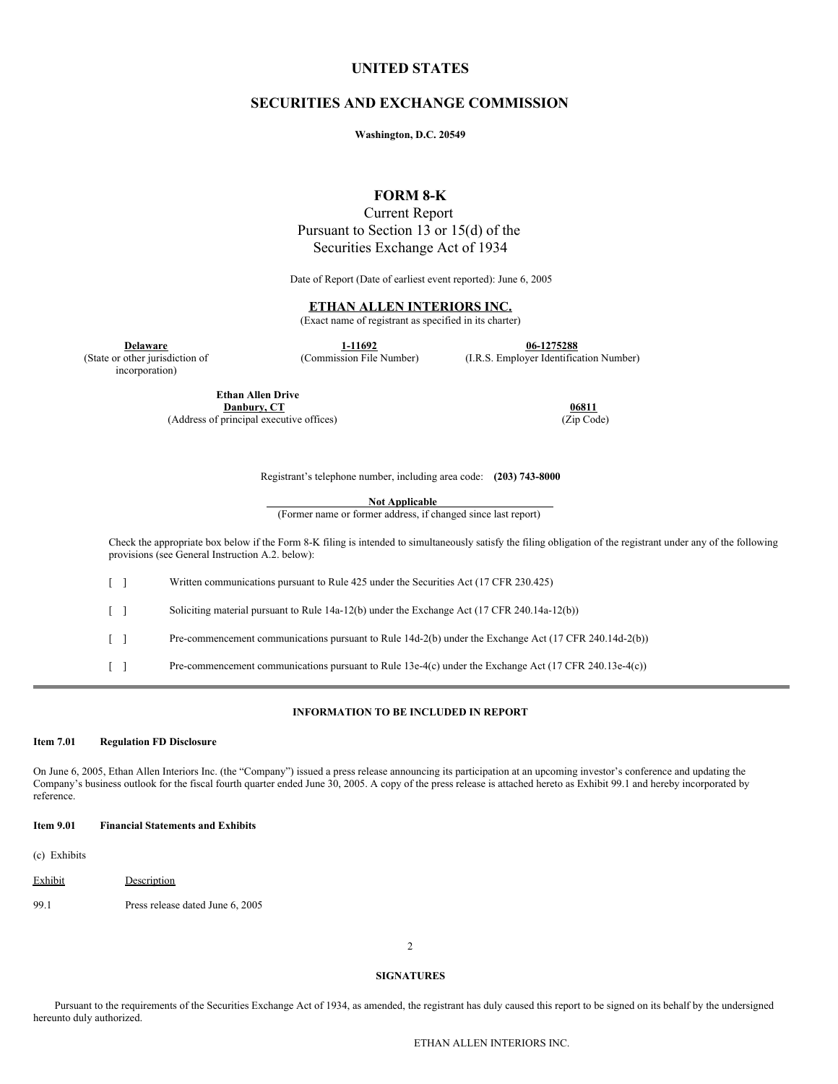# **UNITED STATES**

## **SECURITIES AND EXCHANGE COMMISSION**

**Washington, D.C. 20549**

# **FORM 8-K**

Current Report Pursuant to Section 13 or 15(d) of the Securities Exchange Act of 1934

Date of Report (Date of earliest event reported): June 6, 2005

## **ETHAN ALLEN INTERIORS INC.**

(Exact name of registrant as specified in its charter)

**<u>Delaware</u> 1-11692 1-11692 1-11692 1-1275288**<br> **1-11692 1.R.S. Employer Identifical** 

incorporation)

**Ethan Allen Drive Danbury, CT 06811**<br>
principal executive offices) (Zip Code) (250 Code) (Address of principal executive offices)

(I.R.S. Employer Identification Number)

Registrant's telephone number, including area code: **(203) 743-8000**

**Not Applicable**

(Former name or former address, if changed since last report)

Check the appropriate box below if the Form 8-K filing is intended to simultaneously satisfy the filing obligation of the registrant under any of the following provisions (see General Instruction A.2. below):

[ ] Written communications pursuant to Rule 425 under the Securities Act (17 CFR 230.425)

[ ] Soliciting material pursuant to Rule 14a-12(b) under the Exchange Act (17 CFR 240.14a-12(b))

[ ] Pre-commencement communications pursuant to Rule 14d-2(b) under the Exchange Act (17 CFR 240.14d-2(b))

[ ] Pre-commencement communications pursuant to Rule 13e-4(c) under the Exchange Act (17 CFR 240.13e-4(c))

## **INFORMATION TO BE INCLUDED IN REPORT**

#### **Item 7.01 Regulation FD Disclosure**

On June 6, 2005, Ethan Allen Interiors Inc. (the "Company") issued a press release announcing its participation at an upcoming investor's conference and updating the Company's business outlook for the fiscal fourth quarter ended June 30, 2005. A copy of the press release is attached hereto as Exhibit 99.1 and hereby incorporated by reference.

#### **Item 9.01 Financial Statements and Exhibits**

(c) Exhibits

- Exhibit **Description**
- 99.1 Press release dated June 6, 2005

2

### **SIGNATURES**

Pursuant to the requirements of the Securities Exchange Act of 1934, as amended, the registrant has duly caused this report to be signed on its behalf by the undersigned hereunto duly authorized.

ETHAN ALLEN INTERIORS INC.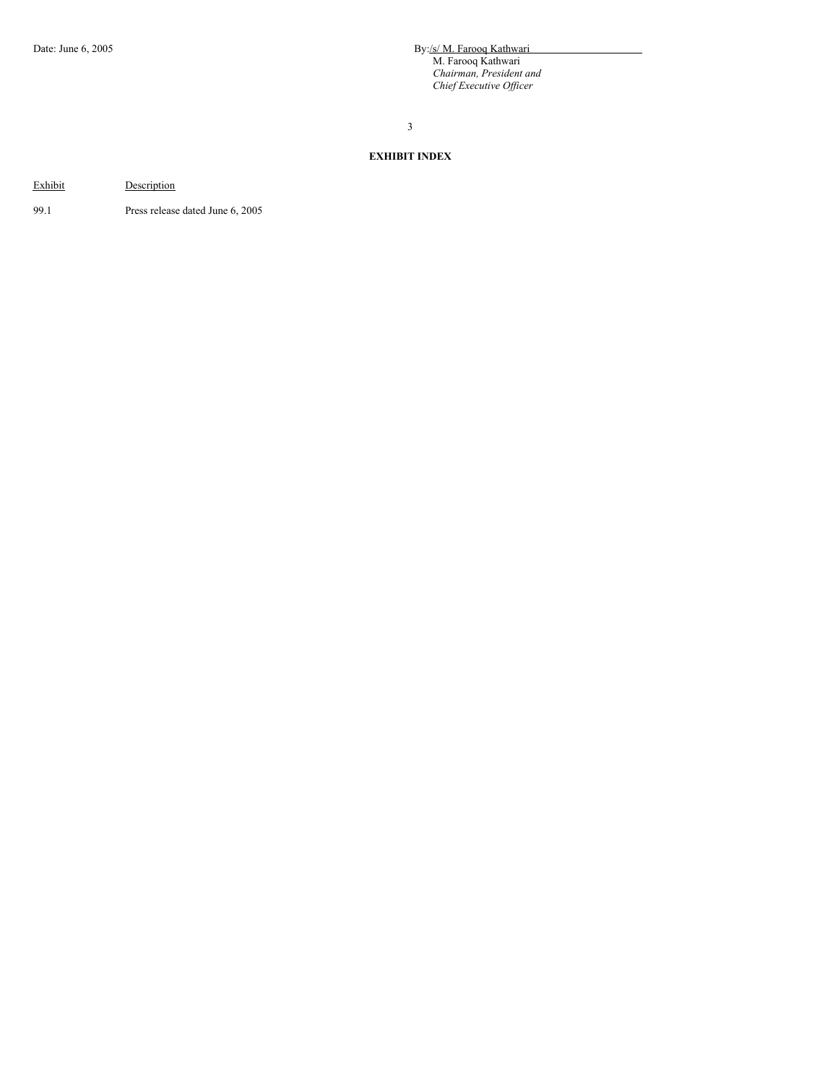Date: June 6, 2005 **By:**/s/ M. Farooq Kathwari M. Farooq Kathwari *Chairman, President and Chief Executive Of icer*

3

# **EXHIBIT INDEX**

Exhibit

99.1 Press release dated June 6, 2005

**Description**